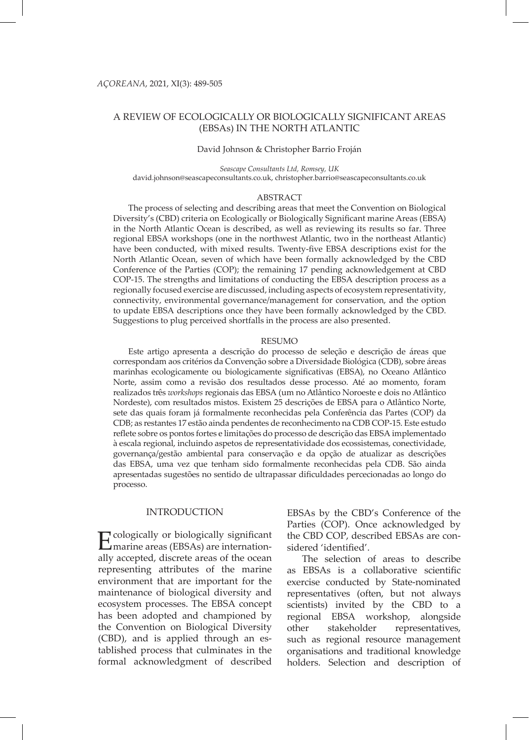# A REVIEW OF ECOLOGICALLY OR BIOLOGICALLY SIGNIFICANT AREAS (EBSAs) IN THE NORTH ATLANTIC

#### David Johnson & Christopher Barrio Froján

*Seascape Consultants Ltd, Romsey, UK* david.johnson@seascapeconsultants.co.uk, christopher.barrio@seascapeconsultants.co.uk

#### ABSTRACT

The process of selecting and describing areas that meet the Convention on Biological Diversity's (CBD) criteria on Ecologically or Biologically Significant marine Areas (EBSA) in the North Atlantic Ocean is described, as well as reviewing its results so far. Three regional EBSA workshops (one in the northwest Atlantic, two in the northeast Atlantic) have been conducted, with mixed results. Twenty-five EBSA descriptions exist for the North Atlantic Ocean, seven of which have been formally acknowledged by the CBD Conference of the Parties (COP); the remaining 17 pending acknowledgement at CBD COP-15. The strengths and limitations of conducting the EBSA description process as a regionally focused exercise are discussed, including aspects of ecosystem representativity, connectivity, environmental governance/management for conservation, and the option to update EBSA descriptions once they have been formally acknowledged by the CBD. Suggestions to plug perceived shortfalls in the process are also presented.

#### RESUMO

Este artigo apresenta a descrição do processo de seleção e descrição de áreas que correspondam aos critérios da Convenção sobre a Diversidade Biológica (CDB), sobre áreas marinhas ecologicamente ou biologicamente significativas (EBSA), no Oceano Atlântico Norte, assim como a revisão dos resultados desse processo. Até ao momento, foram realizados três *workshops* regionais das EBSA (um no Atlântico Noroeste e dois no Atlântico Nordeste), com resultados mistos. Existem 25 descrições de EBSA para o Atlântico Norte, sete das quais foram já formalmente reconhecidas pela Conferência das Partes (COP) da CDB; as restantes 17 estão ainda pendentes de reconhecimento na CDB COP-15. Este estudo reflete sobre os pontos fortes e limitações do processo de descrição das EBSA implementado à escala regional, incluindo aspetos de representatividade dos ecossistemas, conectividade, governança/gestão ambiental para conservação e da opção de atualizar as descrições das EBSA, uma vez que tenham sido formalmente reconhecidas pela CDB. São ainda apresentadas sugestões no sentido de ultrapassar dificuldades percecionadas ao longo do processo.

# INTRODUCTION

Ecologically or biologically significant marine areas (EBSAs) are internationally accepted, discrete areas of the ocean representing attributes of the marine environment that are important for the maintenance of biological diversity and ecosystem processes. The EBSA concept has been adopted and championed by the Convention on Biological Diversity (CBD), and is applied through an established process that culminates in the formal acknowledgment of described

EBSAs by the CBD's Conference of the Parties (COP). Once acknowledged by the CBD COP, described EBSAs are considered 'identified'.

The selection of areas to describe as EBSAs is a collaborative scientific exercise conducted by State-nominated representatives (often, but not always scientists) invited by the CBD to a regional EBSA workshop, alongside other stakeholder representatives, such as regional resource management organisations and traditional knowledge holders. Selection and description of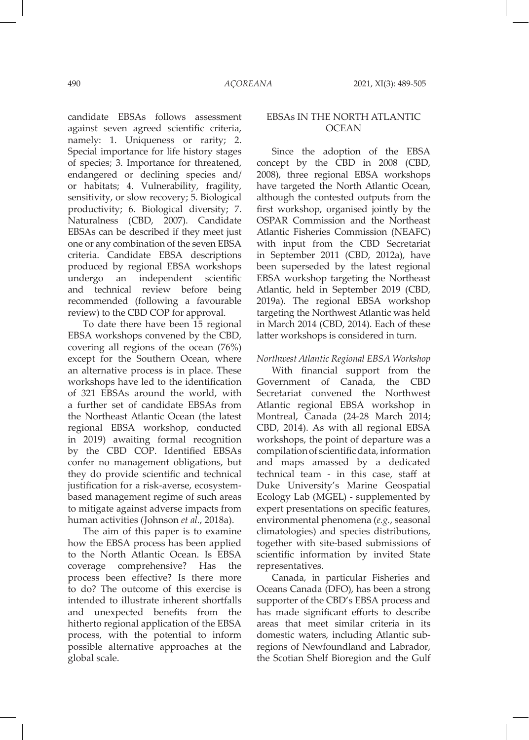candidate EBSAs follows assessment against seven agreed scientific criteria, namely: 1. Uniqueness or rarity; 2. Special importance for life history stages of species; 3. Importance for threatened, endangered or declining species and/ or habitats; 4. Vulnerability, fragility, sensitivity, or slow recovery; 5. Biological productivity; 6. Biological diversity; 7. Naturalness (CBD, 2007). Candidate EBSAs can be described if they meet just one or any combination of the seven EBSA criteria. Candidate EBSA descriptions produced by regional EBSA workshops undergo an independent scientific and technical review before being recommended (following a favourable review) to the CBD COP for approval.

To date there have been 15 regional EBSA workshops convened by the CBD, covering all regions of the ocean (76%) except for the Southern Ocean, where an alternative process is in place. These workshops have led to the identification of 321 EBSAs around the world, with a further set of candidate EBSAs from the Northeast Atlantic Ocean (the latest regional EBSA workshop, conducted in 2019) awaiting formal recognition by the CBD COP. Identified EBSAs confer no management obligations, but they do provide scientific and technical justification for a risk-averse, ecosystembased management regime of such areas to mitigate against adverse impacts from human activities (Johnson *et al.*, 2018a).

The aim of this paper is to examine how the EBSA process has been applied to the North Atlantic Ocean. Is EBSA coverage comprehensive? Has the process been effective? Is there more to do? The outcome of this exercise is intended to illustrate inherent shortfalls and unexpected benefits from the hitherto regional application of the EBSA process, with the potential to inform possible alternative approaches at the global scale.

# EBSAs IN THE NORTH ATLANTIC **OCEAN**

Since the adoption of the EBSA concept by the CBD in 2008 (CBD, 2008), three regional EBSA workshops have targeted the North Atlantic Ocean, although the contested outputs from the first workshop, organised jointly by the OSPAR Commission and the Northeast Atlantic Fisheries Commission (NEAFC) with input from the CBD Secretariat in September 2011 (CBD, 2012a), have been superseded by the latest regional EBSA workshop targeting the Northeast Atlantic, held in September 2019 (CBD, 2019a). The regional EBSA workshop targeting the Northwest Atlantic was held in March 2014 (CBD, 2014). Each of these latter workshops is considered in turn.

*Northwest Atlantic Regional EBSA Workshop*

With financial support from the Government of Canada, the CBD Secretariat convened the Northwest Atlantic regional EBSA workshop in Montreal, Canada (24-28 March 2014; CBD, 2014). As with all regional EBSA workshops, the point of departure was a compilation of scientific data, information and maps amassed by a dedicated technical team - in this case, staff at Duke University's Marine Geospatial Ecology Lab (MGEL) - supplemented by expert presentations on specific features, environmental phenomena (*e.g.*, seasonal climatologies) and species distributions, together with site-based submissions of scientific information by invited State representatives.

Canada, in particular Fisheries and Oceans Canada (DFO), has been a strong supporter of the CBD's EBSA process and has made significant efforts to describe areas that meet similar criteria in its domestic waters, including Atlantic subregions of Newfoundland and Labrador, the Scotian Shelf Bioregion and the Gulf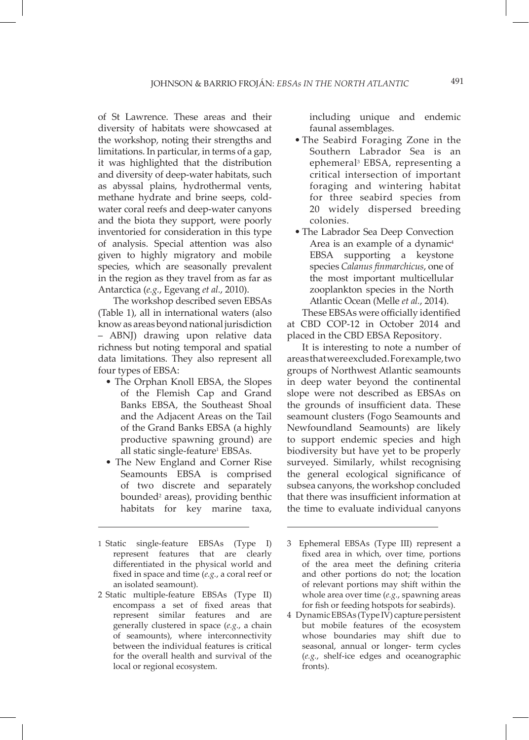of St Lawrence. These areas and their diversity of habitats were showcased at the workshop, noting their strengths and limitations. In particular, in terms of a gap, it was highlighted that the distribution and diversity of deep-water habitats, such as abyssal plains, hydrothermal vents, methane hydrate and brine seeps, coldwater coral reefs and deep-water canyons and the biota they support, were poorly inventoried for consideration in this type of analysis. Special attention was also given to highly migratory and mobile species, which are seasonally prevalent in the region as they travel from as far as Antarctica (*e.g.*, Egevang *et al.*, 2010).

The workshop described seven EBSAs (Table 1), all in international waters (also know as areas beyond national jurisdiction – ABNJ) drawing upon relative data richness but noting temporal and spatial data limitations. They also represent all four types of EBSA:

- The Orphan Knoll EBSA, the Slopes of the Flemish Cap and Grand Banks EBSA, the Southeast Shoal and the Adjacent Areas on the Tail of the Grand Banks EBSA (a highly productive spawning ground) are all static single-feature<sup>1</sup> EBSAs.
- The New England and Corner Rise Seamounts EBSA is comprised of two discrete and separately bounded<sup>2</sup> areas), providing benthic habitats for key marine taxa,

including unique and endemic faunal assemblages.

- The Seabird Foraging Zone in the Southern Labrador Sea is an ephemeral3 EBSA, representing a critical intersection of important foraging and wintering habitat for three seabird species from 20 widely dispersed breeding colonies.
- The Labrador Sea Deep Convection Area is an example of a dynamic<sup>4</sup> EBSA supporting a keystone species *Calanus finmarchicus*, one of the most important multicellular zooplankton species in the North Atlantic Ocean (Melle *et al.*, 2014).

These EBSAs were officially identified at CBD COP-12 in October 2014 and placed in the CBD EBSA Repository.

It is interesting to note a number of areas that were excluded. For example, two groups of Northwest Atlantic seamounts in deep water beyond the continental slope were not described as EBSAs on the grounds of insufficient data. These seamount clusters (Fogo Seamounts and Newfoundland Seamounts) are likely to support endemic species and high biodiversity but have yet to be properly surveyed. Similarly, whilst recognising the general ecological significance of subsea canyons, the workshop concluded that there was insufficient information at the time to evaluate individual canyons

<sup>1</sup> Static single-feature EBSAs (Type I) represent features that are clearly differentiated in the physical world and fixed in space and time (*e.g.*, a coral reef or an isolated seamount).

<sup>2</sup> Static multiple-feature EBSAs (Type II) encompass a set of fixed areas that represent similar features and are generally clustered in space (*e.g.*, a chain of seamounts), where interconnectivity between the individual features is critical for the overall health and survival of the local or regional ecosystem.

<sup>3</sup> Ephemeral EBSAs (Type III) represent a fixed area in which, over time, portions of the area meet the defining criteria and other portions do not; the location of relevant portions may shift within the whole area over time (*e.g.*, spawning areas for fish or feeding hotspots for seabirds).

<sup>4</sup> Dynamic EBSAs (Type IV) capture persistent but mobile features of the ecosystem whose boundaries may shift due to seasonal, annual or longer- term cycles (*e.g.*, shelf-ice edges and oceanographic fronts).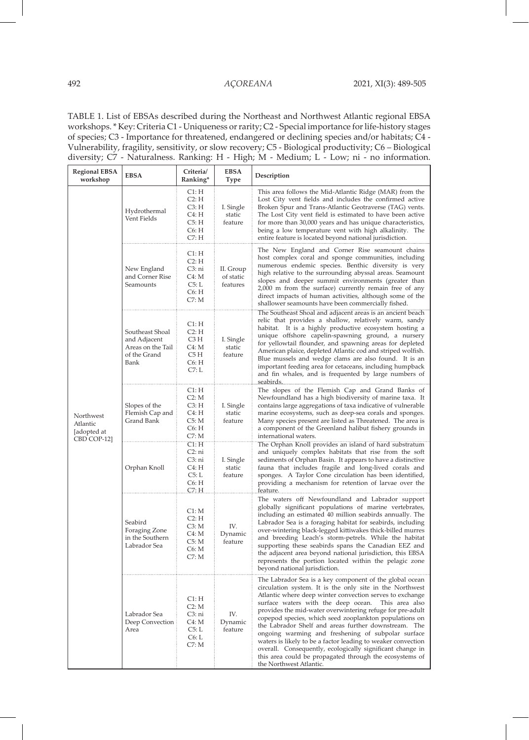TABLE 1. List of EBSAs described during the Northeast and Northwest Atlantic regional EBSA workshops. \* Key: Criteria C1 - Uniqueness or rarity; C2 - Special importance for life-history stages of species; C3 - Importance for threatened, endangered or declining species and/or habitats; C4 - Vulnerability, fragility, sensitivity, or slow recovery; C5 - Biological productivity; C6 – Biological diversity; C7 - Naturalness. Ranking: H - High; M - Medium; L - Low; ni - no information.

| <b>Regional EBSA</b><br>workshop                    | <b>EBSA</b>                                                                  | Criteria/<br>Ranking*                                          | <b>EBSA</b><br>Type                | Description                                                                                                                                                                                                                                                                                                                                                                                                                                                                                                                                                                                                                                                                                   |
|-----------------------------------------------------|------------------------------------------------------------------------------|----------------------------------------------------------------|------------------------------------|-----------------------------------------------------------------------------------------------------------------------------------------------------------------------------------------------------------------------------------------------------------------------------------------------------------------------------------------------------------------------------------------------------------------------------------------------------------------------------------------------------------------------------------------------------------------------------------------------------------------------------------------------------------------------------------------------|
| Northwest<br>Atlantic<br>[adopted at<br>CBD COP-12] | Hydrothermal<br>Vent Fields                                                  | Cl:H<br>C2: H<br>C3: H<br>C4: H<br>C5: H<br>C6: H<br>C7: H     | I. Single<br>static<br>feature     | This area follows the Mid-Atlantic Ridge (MAR) from the<br>Lost City vent fields and includes the confirmed active<br>Broken Spur and Trans-Atlantic Geotraverse (TAG) vents.<br>The Lost City vent field is estimated to have been active<br>for more than 30,000 years and has unique characteristics,<br>being a low temperature vent with high alkalinity. The<br>entire feature is located beyond national jurisdiction.                                                                                                                                                                                                                                                                 |
|                                                     | New England<br>and Corner Rise<br>Seamounts                                  | Cl:H<br>C2: H<br>C3: ni<br>C4: M<br>C5: L<br>C6: H<br>C7: M    | II. Group<br>of static<br>features | The New England and Corner Rise seamount chains<br>host complex coral and sponge communities, including<br>numerous endemic species. Benthic diversity is very<br>high relative to the surrounding abyssal areas. Seamount<br>slopes and deeper summit environments (greater than<br>2,000 m from the surface) currently remain free of any<br>direct impacts of human activities, although some of the<br>shallower seamounts have been commercially fished.                                                                                                                                                                                                                                 |
|                                                     | Southeast Shoal<br>and Adjacent<br>Areas on the Tail<br>of the Grand<br>Bank | C1: H<br>C2: H<br>C3 H<br>C4: M<br>C5 H<br>C6: H<br>C7: L      | I. Single<br>static<br>feature     | The Southeast Shoal and adjacent areas is an ancient beach<br>relic that provides a shallow, relatively warm, sandy<br>habitat. It is a highly productive ecosystem hosting a<br>unique offshore capelin-spawning ground, a nursery<br>for yellowtail flounder, and spawning areas for depleted<br>American plaice, depleted Atlantic cod and striped wolfish.<br>Blue mussels and wedge clams are also found. It is an<br>important feeding area for cetaceans, including humpback<br>and fin whales, and is frequented by large numbers of                                                                                                                                                  |
|                                                     | Slopes of the<br>Flemish Cap and<br>Grand Bank                               | C1: H<br>C2: M<br>C3: H<br>C4: H<br>C5: M<br>C6: H<br>C7: M    | I. Single<br>static<br>feature     | The slopes of the Flemish Cap and Grand Banks of<br>Newfoundland has a high biodiversity of marine taxa. It<br>contains large aggregations of taxa indicative of vulnerable<br>marine ecosystems, such as deep-sea corals and sponges.<br>Many species present are listed as Threatened. The area is<br>a component of the Greenland halibut fishery grounds in<br>international waters.                                                                                                                                                                                                                                                                                                      |
|                                                     | Orphan Knoll                                                                 | C1: H<br>C2: ni<br>C3: ni<br>C4: H<br>C5: L<br>C6: H<br>C7: H. | I. Single<br>static<br>feature     | The Orphan Knoll provides an island of hard substratum<br>and uniquely complex habitats that rise from the soft<br>sediments of Orphan Basin. It appears to have a distinctive<br>fauna that includes fragile and long-lived corals and<br>sponges. A Taylor Cone circulation has been identified,<br>providing a mechanism for retention of larvae over the<br>teature                                                                                                                                                                                                                                                                                                                       |
|                                                     | Seabird<br>Foraging Zone<br>in the Southern<br>Labrador Sea                  | C1: M<br>C2: H<br>C3: M<br>C4: M<br>C5: M<br>C6: M<br>C7: M    | IV.<br>Dynamic<br>feature          | The waters off Newfoundland and Labrador support<br>globally significant populations of marine vertebrates,<br>including an estimated 40 million seabirds annually. The<br>Labrador Sea is a foraging habitat for seabirds, including<br>over-wintering black-legged kittiwakes thick-billed murres<br>and breeding Leach's storm-petrels. While the habitat<br>supporting these seabirds spans the Canadian EEZ and<br>the adjacent area beyond national jurisdiction, this EBSA<br>represents the portion located within the pelagic zone<br>beyond national jurisdiction.                                                                                                                  |
|                                                     | Labrador Sea<br>Deep Convection<br>Area                                      | Cl:H<br>C2: M<br>C3: ni<br>C4: M<br>C5: L<br>C6: L<br>C7: M    | IV.<br>Dynamic<br>feature          | The Labrador Sea is a key component of the global ocean<br>circulation system. It is the only site in the Northwest<br>Atlantic where deep winter convection serves to exchange<br>surface waters with the deep ocean. This area also<br>provides the mid-water overwintering refuge for pre-adult<br>copepod species, which seed zooplankton populations on<br>the Labrador Shelf and areas further downstream. The<br>ongoing warming and freshening of subpolar surface<br>waters is likely to be a factor leading to weaker convection<br>overall. Consequently, ecologically significant change in<br>this area could be propagated through the ecosystems of<br>the Northwest Atlantic. |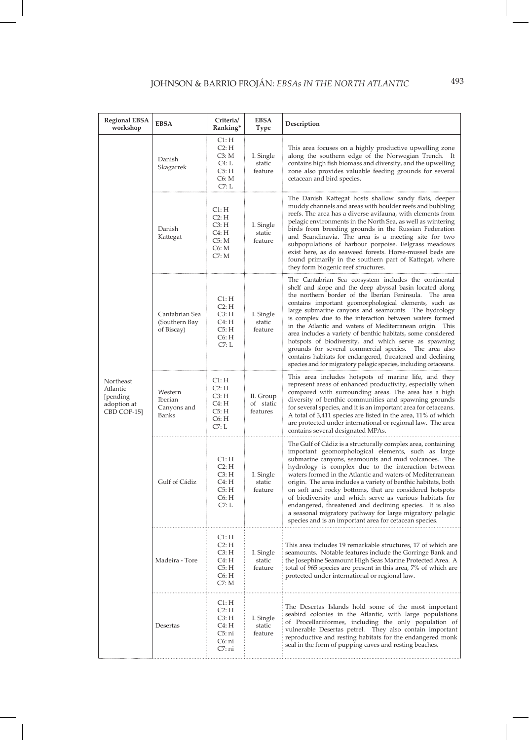| <b>Regional EBSA</b><br>workshop                                | <b>EBSA</b>                                   | Criteria/<br>Ranking*                                          | <b>EBSA</b><br>Type                | Description                                                                                                                                                                                                                                                                                                                                                                                                                                                                                                                                                                                                                                                                                                                            |
|-----------------------------------------------------------------|-----------------------------------------------|----------------------------------------------------------------|------------------------------------|----------------------------------------------------------------------------------------------------------------------------------------------------------------------------------------------------------------------------------------------------------------------------------------------------------------------------------------------------------------------------------------------------------------------------------------------------------------------------------------------------------------------------------------------------------------------------------------------------------------------------------------------------------------------------------------------------------------------------------------|
| Northeast<br>Atlantic<br>[pending<br>adoption at<br>CBD COP-15] | Danish<br>Skagarrek                           | C1: H<br>C2: H<br>C3: M<br>C4: L<br>C5: H<br>C6: M<br>C7: L    | I. Single<br>static<br>feature     | This area focuses on a highly productive upwelling zone<br>along the southern edge of the Norwegian Trench. It<br>contains high fish biomass and diversity, and the upwelling<br>zone also provides valuable feeding grounds for several<br>cetacean and bird species.                                                                                                                                                                                                                                                                                                                                                                                                                                                                 |
|                                                                 | Danish<br>Kattegat                            | Cl:H<br>C2: H<br>C3: H<br>C4: H<br>C5: M<br>C6: M<br>C7: M     | I. Single<br>static<br>feature     | The Danish Kattegat hosts shallow sandy flats, deeper<br>muddy channels and areas with boulder reefs and bubbling<br>reefs. The area has a diverse avifauna, with elements from<br>pelagic environments in the North Sea, as well as wintering<br>birds from breeding grounds in the Russian Federation<br>and Scandinavia. The area is a meeting site for two<br>subpopulations of harbour porpoise. Eelgrass meadows<br>exist here, as do seaweed forests. Horse-mussel beds are<br>found primarily in the southern part of Kattegat, where<br>they form biogenic reef structures.                                                                                                                                                   |
|                                                                 | Cantabrian Sea<br>(Southern Bay<br>of Biscay) | Cl:H<br>C2: H<br>C3: H<br>C4: H<br>C5: H<br>C6: H<br>C7: L     | I. Single<br>static<br>feature     | The Cantabrian Sea ecosystem includes the continental<br>shelf and slope and the deep abyssal basin located along<br>the northern border of the Iberian Peninsula. The area<br>contains important geomorphological elements, such as<br>large submarine canyons and seamounts. The hydrology<br>is complex due to the interaction between waters formed<br>in the Atlantic and waters of Mediterranean origin. This<br>area includes a variety of benthic habitats, some considered<br>hotspots of biodiversity, and which serve as spawning<br>grounds for several commercial species. The area also<br>contains habitats for endangered, threatened and declining<br>species and for migratory pelagic species, including cetaceans. |
|                                                                 | Western<br>Iberian<br>Canyons and<br>Banks    | Cl:H<br>C2: H<br>C3: H<br>C4: H<br>C5: H<br>C6: H<br>C7: L     | II. Group<br>of static<br>features | This area includes hotspots of marine life, and they<br>represent areas of enhanced productivity, especially when<br>compared with surrounding areas. The area has a high<br>diversity of benthic communities and spawning grounds<br>for several species, and it is an important area for cetaceans.<br>A total of 3,411 species are listed in the area, 11% of which<br>are protected under international or regional law. The area<br>contains several designated MPAs.                                                                                                                                                                                                                                                             |
|                                                                 | Gulf of Cádiz                                 | CI: H<br>C2: H<br>C3: H<br>C4: H<br>C5: H<br>C6: H<br>C7: L    | I. Single<br>static<br>feature     | The Gulf of Cádiz is a structurally complex area, containing<br>important geomorphological elements, such as large<br>submarine canyons, seamounts and mud volcanoes. The<br>hydrology is complex due to the interaction between<br>waters formed in the Atlantic and waters of Mediterranean<br>origin. The area includes a variety of benthic habitats, both<br>on soft and rocky bottoms, that are considered hotspots<br>of biodiversity and which serve as various habitats for<br>endangered, threatened and declining species. It is also<br>a seasonal migratory pathway for large migratory pelagic<br>species and is an important area for cetacean species.                                                                 |
|                                                                 | Madeira - Tore                                | Cl:H<br>C2: H<br>C3: H<br>C4: H<br>C5: H<br>C6: H<br>C7: M     | I. Single<br>static<br>feature     | This area includes 19 remarkable structures, 17 of which are<br>seamounts. Notable features include the Gorringe Bank and<br>the Josephine Seamount High Seas Marine Protected Area. A<br>total of 965 species are present in this area, 7% of which are<br>protected under international or regional law.                                                                                                                                                                                                                                                                                                                                                                                                                             |
|                                                                 | Desertas                                      | C1: H<br>C2: H<br>C3: H<br>C4: H<br>C5: ni<br>C6: ni<br>C7: ni | I. Single<br>static<br>feature     | The Desertas Islands hold some of the most important<br>seabird colonies in the Atlantic, with large populations<br>of Procellariiformes, including the only population of<br>vulnerable Desertas petrel. They also contain important<br>reproductive and resting habitats for the endangered monk<br>seal in the form of pupping caves and resting beaches.                                                                                                                                                                                                                                                                                                                                                                           |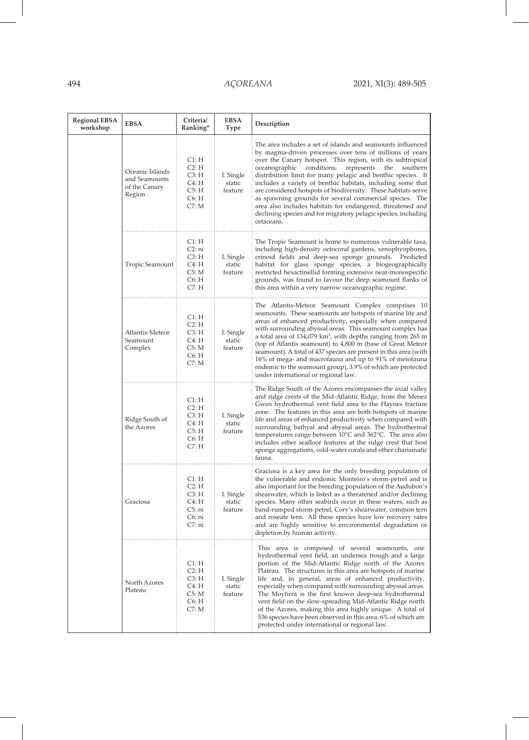$\overline{\phantom{a}}$ 

| <b>Regional EBSA</b><br>workshop | <b>EBSA</b>                                                 | Criteria/<br>Ranking*                                        | EBSA<br>Type                   | Description                                                                                                                                                                                                                                                                                                                                                                                                                                                                                                                                                                                                                                                     |
|----------------------------------|-------------------------------------------------------------|--------------------------------------------------------------|--------------------------------|-----------------------------------------------------------------------------------------------------------------------------------------------------------------------------------------------------------------------------------------------------------------------------------------------------------------------------------------------------------------------------------------------------------------------------------------------------------------------------------------------------------------------------------------------------------------------------------------------------------------------------------------------------------------|
|                                  | Oceanic Islands<br>and Seamounts<br>of the Canary<br>Region | Cl:H<br>C2: H<br>C3: H<br>C4: H<br>C5: H<br>C6: H<br>C7: M   | I. Single<br>static<br>feature | The area includes a set of islands and seamounts influenced<br>by magma-driven processes over tens of millions of years<br>over the Canary hotspot. This region, with its subtropical<br>oceanographic<br>conditions,<br>represents<br>the<br>southern<br>distribution limit for many pelagic and benthic species. It<br>includes a variety of benthic habitats, including some that<br>are considered hotspots of biodiversity. These habitats serve<br>as spawning grounds for several commercial species. The<br>area also includes habitats for endangered, threatened and<br>declining species and for migratory pelagic species, including<br>cetaceans.  |
|                                  | Tropic Seamount                                             | Cl:H<br>C2: ni<br>C3: H<br>C4: H<br>C5: M<br>C6: H<br>C7: H  | I. Single<br>static<br>feature | The Tropic Seamount is home to numerous vulnerable taxa,<br>including high-density octocoral gardens, xenophyophores,<br>crinoid fields and deep-sea sponge grounds. Predicted<br>habitat for glass sponge species, a biogeographically<br>restricted hexactinellid forming extensive near-monospecific<br>grounds, was found to favour the deep seamount flanks of<br>this area within a very narrow oceanographic regime.                                                                                                                                                                                                                                     |
|                                  | Atlantis-Meteor<br>Seamount<br>Complex                      | Cl:H<br>C2: H<br>C3: H<br>C4: H<br>C5: M<br>C6: H<br>C7: M   | I. Single<br>static<br>feature | The Atlantis-Meteor Seamount Complex comprises<br>seamounts. These seamounts are hotspots of marine life and<br>areas of enhanced productivity, especially when compared<br>with surrounding abyssal areas. This seamount complex has<br>a total area of 134,079 km <sup>2</sup> , with depths ranging from 265 m<br>(top of Atlantis seamount) to 4,800 m (base of Great Meteor<br>seamount). A total of 437 species are present in this area (with<br>16% of mega- and macrofauna and up to 91% of meiofauna<br>endemic to the seamount group), 3.9% of which are protected<br>under international or regional law.                                           |
|                                  | Ridge South of<br>the Azores                                | Cl:H<br>C2: H<br>C3: H<br>C4: H<br>C5: H<br>C6: H<br>C7: H   | I. Single<br>static<br>feature | The Ridge South of the Azores encompasses the axial valley<br>and ridge crests of the Mid-Atlantic Ridge, from the Menez<br>Gwen hydrothermal vent field area to the Haynes fracture<br>zone. The features in this area are both hotspots of marine<br>life and areas of enhanced productivity when compared with<br>surrounding bathyal and abyssal areas. The hydrothermal<br>temperatures range between $10^{\circ}$ C and $362^{\circ}$ C. The area also<br>includes other seafloor features at the ridge crest that host<br>sponge aggregations, cold-water corals and other charismatic<br>fauna.                                                         |
|                                  | Graciosa                                                    | Cl:H<br>C2: H<br>C3: H<br>C4: H<br>C5:ni<br>C6: ni<br>C7: ni | I. Single<br>static<br>feature | Graciosa is a key area for the only breeding population of<br>the vulnerable and endemic Monteiro's storm-petrel and is<br>also important for the breeding population of the Audubon's<br>shearwater, which is listed as a threatened and/or declining<br>species. Many other seabirds occur in these waters, such as<br>band-rumped storm-petrel, Cory's shearwater, common tern<br>and roseate tern. All these species have low recovery rates<br>and are highly sensitive to environmental degradation or<br>depletion by human activity.                                                                                                                    |
|                                  | North Azores<br>Plateau                                     | Cl:H<br>C2: H<br>C3: H<br>C4: H<br>C5: M<br>C6: H<br>C7: M   | I. Single<br>static<br>feature | This area is composed of several seamounts,<br>one<br>hydrothermal vent field, an undersea trough and a large<br>portion of the Mid-Atlantic Ridge north of the Azores<br>Plateau. The structures in this area are hotspots of marine<br>life and, in general, areas of enhanced productivity,<br>especially when compared with surrounding abyssal areas.<br>The Moytirra is the first known deep-sea hydrothermal<br>vent field on the slow-spreading Mid-Atlantic Ridge north<br>of the Azores, making this area highly unique. A total of<br>536 species have been observed in this area, 6% of which are<br>protected under international or regional law. |

 $\overline{\phantom{a}}$ 

 $\overline{\phantom{a}}$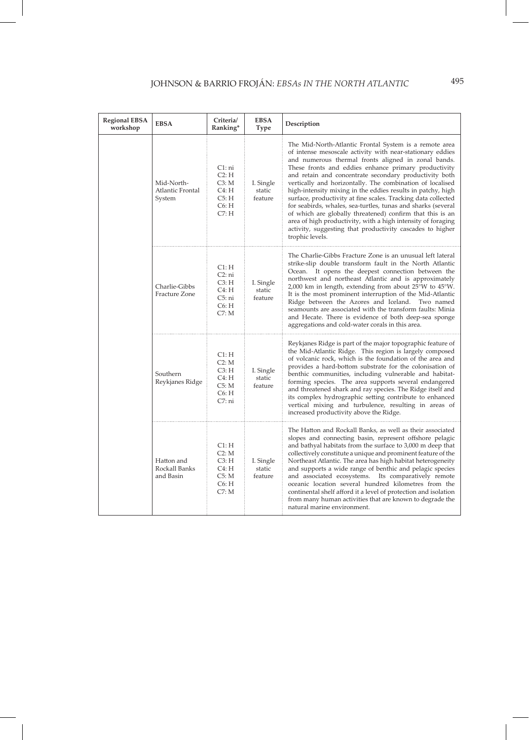| <b>Regional EBSA</b><br>workshop | <b>EBSA</b>                              | Criteria/<br>Ranking*                                        | <b>EBSA</b><br>Type            | Description                                                                                                                                                                                                                                                                                                                                                                                                                                                                                                                                                                                                                                                                                                                                                            |
|----------------------------------|------------------------------------------|--------------------------------------------------------------|--------------------------------|------------------------------------------------------------------------------------------------------------------------------------------------------------------------------------------------------------------------------------------------------------------------------------------------------------------------------------------------------------------------------------------------------------------------------------------------------------------------------------------------------------------------------------------------------------------------------------------------------------------------------------------------------------------------------------------------------------------------------------------------------------------------|
|                                  | Mid-North-<br>Atlantic Frontal<br>System | C1: ni<br>C2: H<br>C3: M<br>C4: H<br>C5: H<br>C6: H<br>C7: H | I. Single<br>static<br>feature | The Mid-North-Atlantic Frontal System is a remote area<br>of intense mesoscale activity with near-stationary eddies<br>and numerous thermal fronts aligned in zonal bands.<br>These fronts and eddies enhance primary productivity<br>and retain and concentrate secondary productivity both<br>vertically and horizontally. The combination of localised<br>high-intensity mixing in the eddies results in patchy, high<br>surface, productivity at fine scales. Tracking data collected<br>for seabirds, whales, sea-turtles, tunas and sharks (several<br>of which are globally threatened) confirm that this is an<br>area of high productivity, with a high intensity of foraging<br>activity, suggesting that productivity cascades to higher<br>trophic levels. |
|                                  | Charlie-Gibbs<br>Fracture Zone           | Cl:H<br>C2: ni<br>C3: H<br>C4: H<br>C5: ni<br>C6: H<br>C7: M | I. Single<br>static<br>feature | The Charlie-Gibbs Fracture Zone is an unusual left lateral<br>strike-slip double transform fault in the North Atlantic<br>Ocean. It opens the deepest connection between the<br>northwest and northeast Atlantic and is approximately<br>$2,000$ km in length, extending from about $25^{\circ}$ W to $45^{\circ}$ W.<br>It is the most prominent interruption of the Mid-Atlantic<br>Ridge between the Azores and Iceland. Two named<br>seamounts are associated with the transform faults: Minia<br>and Hecate. There is evidence of both deep-sea sponge<br>aggregations and cold-water corals in this area.                                                                                                                                                        |
|                                  | Southern<br>Reykjanes Ridge              | Cl:H<br>C2: M<br>C3: H<br>C4: H<br>C5: M<br>C6: H<br>C7: ni  | I. Single<br>static<br>feature | Reykjanes Ridge is part of the major topographic feature of<br>the Mid-Atlantic Ridge. This region is largely composed<br>of volcanic rock, which is the foundation of the area and<br>provides a hard-bottom substrate for the colonisation of<br>benthic communities, including vulnerable and habitat-<br>forming species. The area supports several endangered<br>and threatened shark and ray species. The Ridge itself and<br>its complex hydrographic setting contribute to enhanced<br>vertical mixing and turbulence, resulting in areas of<br>increased productivity above the Ridge.                                                                                                                                                                        |
|                                  | Hatton and<br>Rockall Banks<br>and Basin | C1: H<br>C2: M<br>C3: H<br>C4: H<br>C5: M<br>C6: H<br>C7: M  | I. Single<br>static<br>feature | The Hatton and Rockall Banks, as well as their associated<br>slopes and connecting basin, represent offshore pelagic<br>and bathyal habitats from the surface to 3,000 m deep that<br>collectively constitute a unique and prominent feature of the<br>Northeast Atlantic. The area has high habitat heterogeneity<br>and supports a wide range of benthic and pelagic species<br>and associated ecosystems. Its comparatively remote<br>oceanic location several hundred kilometres from the<br>continental shelf afford it a level of protection and isolation<br>from many human activities that are known to degrade the<br>natural marine environment.                                                                                                            |

I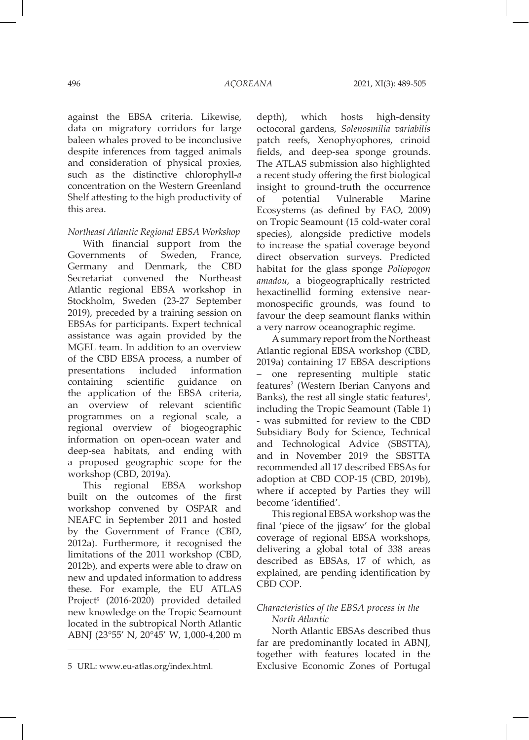against the EBSA criteria. Likewise, data on migratory corridors for large baleen whales proved to be inconclusive despite inferences from tagged animals and consideration of physical proxies, such as the distinctive chlorophyll-*a* concentration on the Western Greenland Shelf attesting to the high productivity of this area.

*Northeast Atlantic Regional EBSA Workshop*

With financial support from the Governments of Sweden, France, Germany and Denmark, the CBD Secretariat convened the Northeast Atlantic regional EBSA workshop in Stockholm, Sweden (23-27 September 2019), preceded by a training session on EBSAs for participants. Expert technical assistance was again provided by the MGEL team. In addition to an overview of the CBD EBSA process, a number of presentations included information containing scientific guidance on the application of the EBSA criteria, an overview of relevant scientific programmes on a regional scale, a regional overview of biogeographic information on open-ocean water and deep-sea habitats, and ending with a proposed geographic scope for the workshop (CBD, 2019a).

This regional EBSA workshop built on the outcomes of the first workshop convened by OSPAR and NEAFC in September 2011 and hosted by the Government of France (CBD, 2012a). Furthermore, it recognised the limitations of the 2011 workshop (CBD, 2012b), and experts were able to draw on new and updated information to address these. For example, the EU ATLAS Project<sup>5</sup> (2016-2020) provided detailed new knowledge on the Tropic Seamount located in the subtropical North Atlantic ABNJ (23°55' N, 20°45' W, 1,000-4,200 m depth), which hosts high-density octocoral gardens, *Solenosmilia variabilis* patch reefs, Xenophyophores, crinoid fields, and deep-sea sponge grounds. The ATLAS submission also highlighted a recent study offering the first biological insight to ground-truth the occurrence of potential Vulnerable Marine Ecosystems (as defined by FAO, 2009) on Tropic Seamount (15 cold-water coral species), alongside predictive models to increase the spatial coverage beyond direct observation surveys. Predicted habitat for the glass sponge *Poliopogon amadou*, a biogeographically restricted hexactinellid forming extensive nearmonospecific grounds, was found to favour the deep seamount flanks within a very narrow oceanographic regime.

A summary report from the Northeast Atlantic regional EBSA workshop (CBD, 2019a) containing 17 EBSA descriptions – one representing multiple static features<sup>2</sup> (Western Iberian Canyons and Banks), the rest all single static features<sup>1</sup>, including the Tropic Seamount (Table 1) - was submitted for review to the CBD Subsidiary Body for Science, Technical and Technological Advice (SBSTTA), and in November 2019 the SBSTTA recommended all 17 described EBSAs for adoption at CBD COP-15 (CBD, 2019b), where if accepted by Parties they will become 'identified'.

This regional EBSA workshop was the final 'piece of the jigsaw' for the global coverage of regional EBSA workshops, delivering a global total of 338 areas described as EBSAs, 17 of which, as explained, are pending identification by CBD COP.

# *Characteristics of the EBSA process in the North Atlantic*

North Atlantic EBSAs described thus far are predominantly located in ABNJ, together with features located in the Exclusive Economic Zones of Portugal

<sup>5</sup> URL: www.eu-atlas.org/index.html.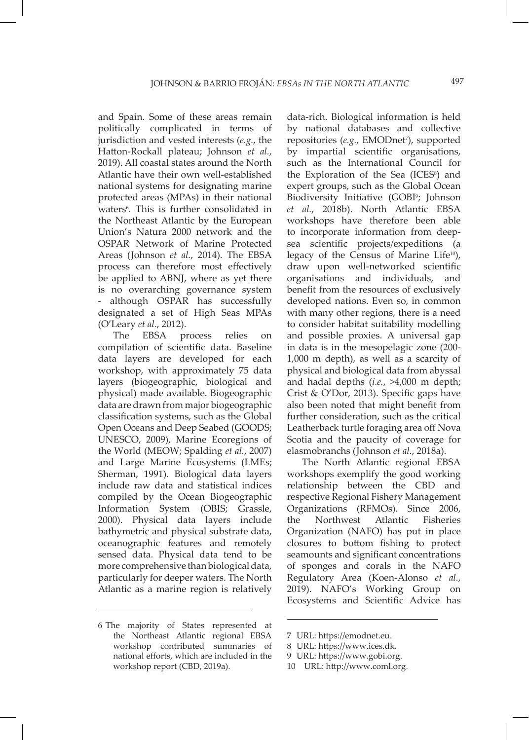and Spain. Some of these areas remain politically complicated in terms of jurisdiction and vested interests (*e.g.*, the Hatton-Rockall plateau; Johnson *et al.*, 2019). All coastal states around the North Atlantic have their own well-established national systems for designating marine protected areas (MPAs) in their national waters<sup>6</sup>. This is further consolidated in the Northeast Atlantic by the European Union's Natura 2000 network and the OSPAR Network of Marine Protected Areas (Johnson *et al.*, 2014). The EBSA process can therefore most effectively be applied to ABNJ, where as yet there is no overarching governance system - although OSPAR has successfully designated a set of High Seas MPAs (O'Leary *et al.*, 2012).

The EBSA process relies on compilation of scientific data. Baseline data layers are developed for each workshop, with approximately 75 data layers (biogeographic, biological and physical) made available. Biogeographic data are drawn from major biogeographic classification systems, such as the Global Open Oceans and Deep Seabed (GOODS; UNESCO, 2009), Marine Ecoregions of the World (MEOW; Spalding *et al.*, 2007) and Large Marine Ecosystems (LMEs; Sherman, 1991). Biological data layers include raw data and statistical indices compiled by the Ocean Biogeographic Information System (OBIS; Grassle, 2000). Physical data layers include bathymetric and physical substrate data, oceanographic features and remotely sensed data. Physical data tend to be more comprehensive than biological data, particularly for deeper waters. The North Atlantic as a marine region is relatively data-rich. Biological information is held by national databases and collective repositories (e.g., EMODnet<sup>7</sup>), supported by impartial scientific organisations, such as the International Council for the Exploration of the Sea (ICES<sup>8</sup>) and expert groups, such as the Global Ocean Biodiversity Initiative (GOBI<sup>9</sup>; Johnson *et al.*, 2018b). North Atlantic EBSA workshops have therefore been able to incorporate information from deepsea scientific projects/expeditions (a legacy of the Census of Marine Life<sup>10</sup>), draw upon well-networked scientific organisations and individuals, and benefit from the resources of exclusively developed nations. Even so, in common with many other regions, there is a need to consider habitat suitability modelling and possible proxies. A universal gap in data is in the mesopelagic zone (200- 1,000 m depth), as well as a scarcity of physical and biological data from abyssal and hadal depths (*i.e.*, >4,000 m depth; Crist & O'Dor, 2013). Specific gaps have also been noted that might benefit from further consideration, such as the critical Leatherback turtle foraging area off Nova Scotia and the paucity of coverage for elasmobranchs (Johnson *et al.*, 2018a).

The North Atlantic regional EBSA workshops exemplify the good working relationship between the CBD and respective Regional Fishery Management Organizations (RFMOs). Since 2006, the Northwest Atlantic Fisheries Organization (NAFO) has put in place closures to bottom fishing to protect seamounts and significant concentrations of sponges and corals in the NAFO Regulatory Area (Koen-Alonso *et al.*, 2019). NAFO's Working Group on Ecosystems and Scientific Advice has

<sup>6</sup> The majority of States represented at the Northeast Atlantic regional EBSA workshop contributed summaries of national efforts, which are included in the workshop report (CBD, 2019a).

<sup>7</sup> URL: https://emodnet.eu.

<sup>8</sup> URL: https://www.ices.dk.

<sup>9</sup> URL: https://www.gobi.org.

<sup>10</sup> URL: http://www.coml.org.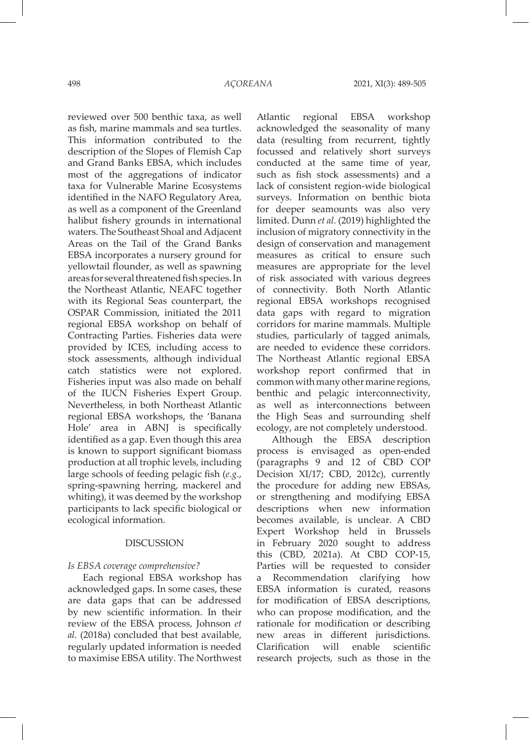reviewed over 500 benthic taxa, as well as fish, marine mammals and sea turtles. This information contributed to the description of the Slopes of Flemish Cap and Grand Banks EBSA, which includes most of the aggregations of indicator taxa for Vulnerable Marine Ecosystems identified in the NAFO Regulatory Area, as well as a component of the Greenland halibut fishery grounds in international waters. The Southeast Shoal and Adjacent Areas on the Tail of the Grand Banks EBSA incorporates a nursery ground for yellowtail flounder, as well as spawning areas for several threatened fish species. In the Northeast Atlantic, NEAFC together with its Regional Seas counterpart, the OSPAR Commission, initiated the 2011 regional EBSA workshop on behalf of Contracting Parties. Fisheries data were provided by ICES, including access to stock assessments, although individual catch statistics were not explored. Fisheries input was also made on behalf of the IUCN Fisheries Expert Group. Nevertheless, in both Northeast Atlantic regional EBSA workshops, the 'Banana Hole' area in ABNJ is specifically identified as a gap. Even though this area is known to support significant biomass production at all trophic levels, including large schools of feeding pelagic fish (*e.g.*, spring-spawning herring, mackerel and whiting), it was deemed by the workshop participants to lack specific biological or ecological information.

#### DISCUSSION

### *Is EBSA coverage comprehensive?*

Each regional EBSA workshop has acknowledged gaps. In some cases, these are data gaps that can be addressed by new scientific information. In their review of the EBSA process, Johnson *et al.* (2018a) concluded that best available, regularly updated information is needed to maximise EBSA utility. The Northwest

Atlantic regional EBSA workshop acknowledged the seasonality of many data (resulting from recurrent, tightly focussed and relatively short surveys conducted at the same time of year, such as fish stock assessments) and a lack of consistent region-wide biological surveys. Information on benthic biota for deeper seamounts was also very limited. Dunn *et al.* (2019) highlighted the inclusion of migratory connectivity in the design of conservation and management measures as critical to ensure such measures are appropriate for the level of risk associated with various degrees of connectivity. Both North Atlantic regional EBSA workshops recognised data gaps with regard to migration corridors for marine mammals. Multiple studies, particularly of tagged animals, are needed to evidence these corridors. The Northeast Atlantic regional EBSA workshop report confirmed that in common with many other marine regions, benthic and pelagic interconnectivity, as well as interconnections between the High Seas and surrounding shelf ecology, are not completely understood.

Although the EBSA description process is envisaged as open-ended (paragraphs 9 and 12 of CBD COP Decision XI/17; CBD, 2012c), currently the procedure for adding new EBSAs, or strengthening and modifying EBSA descriptions when new information becomes available, is unclear. A CBD Expert Workshop held in Brussels in February 2020 sought to address this (CBD, 2021a). At CBD COP-15, Parties will be requested to consider a Recommendation clarifying how EBSA information is curated, reasons for modification of EBSA descriptions, who can propose modification, and the rationale for modification or describing new areas in different jurisdictions. Clarification will enable scientific research projects, such as those in the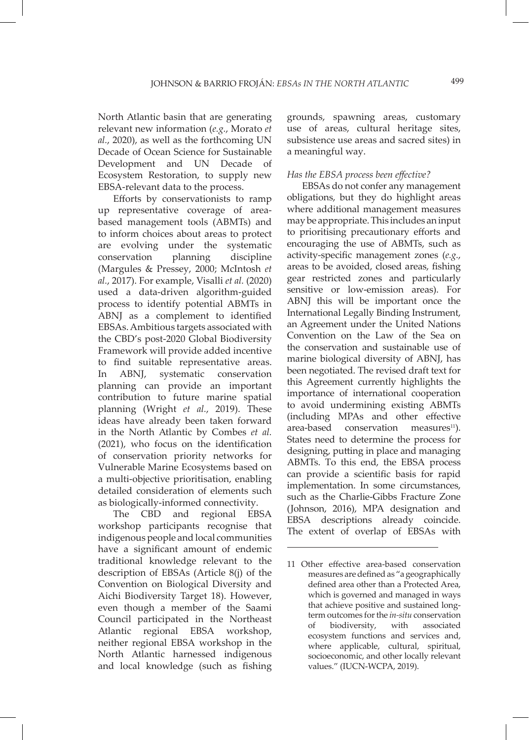North Atlantic basin that are generating relevant new information (*e.g.*, Morato *et al.*, 2020), as well as the forthcoming UN Decade of Ocean Science for Sustainable Development and UN Decade of Ecosystem Restoration, to supply new EBSA-relevant data to the process.

Efforts by conservationists to ramp up representative coverage of areabased management tools (ABMTs) and to inform choices about areas to protect are evolving under the systematic conservation planning discipline (Margules & Pressey, 2000; McIntosh *et al.*, 2017). For example, Visalli *et al.* (2020) used a data-driven algorithm-guided process to identify potential ABMTs in ABNJ as a complement to identified EBSAs. Ambitious targets associated with the CBD's post-2020 Global Biodiversity Framework will provide added incentive to find suitable representative areas. In ABNJ, systematic conservation planning can provide an important contribution to future marine spatial planning (Wright *et al.*, 2019). These ideas have already been taken forward in the North Atlantic by Combes *et al.* (2021), who focus on the identification of conservation priority networks for Vulnerable Marine Ecosystems based on a multi-objective prioritisation, enabling detailed consideration of elements such as biologically-informed connectivity.

The CBD and regional EBSA workshop participants recognise that indigenous people and local communities have a significant amount of endemic traditional knowledge relevant to the description of EBSAs (Article 8(j) of the Convention on Biological Diversity and Aichi Biodiversity Target 18). However, even though a member of the Saami Council participated in the Northeast Atlantic regional EBSA workshop, neither regional EBSA workshop in the North Atlantic harnessed indigenous and local knowledge (such as fishing

grounds, spawning areas, customary use of areas, cultural heritage sites, subsistence use areas and sacred sites) in a meaningful way.

### *Has the EBSA process been effective?*

EBSAs do not confer any management obligations, but they do highlight areas where additional management measures may be appropriate. This includes an input to prioritising precautionary efforts and encouraging the use of ABMTs, such as activity-specific management zones (*e.g.*, areas to be avoided, closed areas, fishing gear restricted zones and particularly sensitive or low-emission areas). For ABNJ this will be important once the International Legally Binding Instrument, an Agreement under the United Nations Convention on the Law of the Sea on the conservation and sustainable use of marine biological diversity of ABNJ, has been negotiated. The revised draft text for this Agreement currently highlights the importance of international cooperation to avoid undermining existing ABMTs (including MPAs and other effective area-based conservation measures<sup>11</sup>). States need to determine the process for designing, putting in place and managing ABMTs. To this end, the EBSA process can provide a scientific basis for rapid implementation. In some circumstances, such as the Charlie-Gibbs Fracture Zone (Johnson, 2016), MPA designation and EBSA descriptions already coincide. The extent of overlap of EBSAs with

<sup>11</sup> Other effective area-based conservation measures are defined as "a geographically defined area other than a Protected Area, which is governed and managed in ways that achieve positive and sustained longterm outcomes for the *in-situ* conservation of biodiversity, with associated ecosystem functions and services and, where applicable, cultural, spiritual, socioeconomic, and other locally relevant values." (IUCN-WCPA, 2019).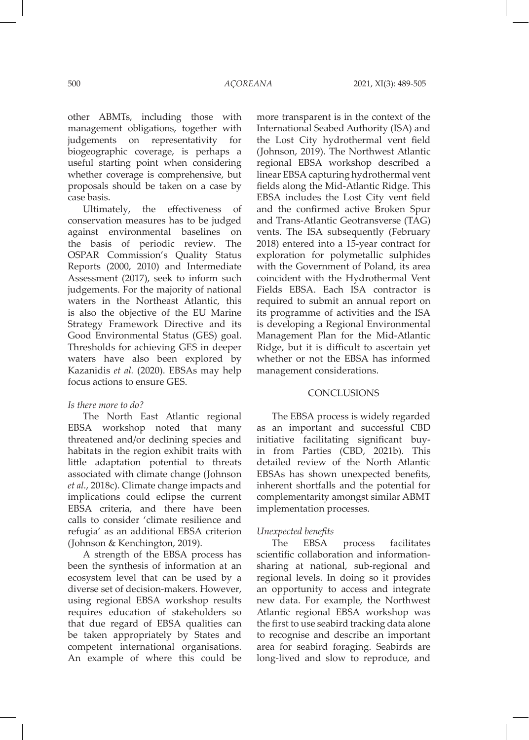other ABMTs, including those with management obligations, together with judgements on representativity for biogeographic coverage, is perhaps a useful starting point when considering whether coverage is comprehensive, but proposals should be taken on a case by case basis.

Ultimately, the effectiveness of conservation measures has to be judged against environmental baselines on the basis of periodic review. The OSPAR Commission's Quality Status Reports (2000, 2010) and Intermediate Assessment (2017), seek to inform such judgements. For the majority of national waters in the Northeast Atlantic, this is also the objective of the EU Marine Strategy Framework Directive and its Good Environmental Status (GES) goal. Thresholds for achieving GES in deeper waters have also been explored by Kazanidis *et al.* (2020). EBSAs may help focus actions to ensure GES.

### *Is there more to do?*

The North East Atlantic regional EBSA workshop noted that many threatened and/or declining species and habitats in the region exhibit traits with little adaptation potential to threats associated with climate change (Johnson *et al.*, 2018c). Climate change impacts and implications could eclipse the current EBSA criteria, and there have been calls to consider 'climate resilience and refugia' as an additional EBSA criterion (Johnson & Kenchington, 2019).

A strength of the EBSA process has been the synthesis of information at an ecosystem level that can be used by a diverse set of decision-makers. However, using regional EBSA workshop results requires education of stakeholders so that due regard of EBSA qualities can be taken appropriately by States and competent international organisations. An example of where this could be

more transparent is in the context of the International Seabed Authority (ISA) and the Lost City hydrothermal vent field (Johnson, 2019). The Northwest Atlantic regional EBSA workshop described a linear EBSA capturing hydrothermal vent fields along the Mid-Atlantic Ridge. This EBSA includes the Lost City vent field and the confirmed active Broken Spur and Trans-Atlantic Geotransverse (TAG) vents. The ISA subsequently (February 2018) entered into a 15-year contract for exploration for polymetallic sulphides with the Government of Poland, its area coincident with the Hydrothermal Vent Fields EBSA. Each ISA contractor is required to submit an annual report on its programme of activities and the ISA is developing a Regional Environmental Management Plan for the Mid-Atlantic Ridge, but it is difficult to ascertain yet whether or not the EBSA has informed management considerations.

### **CONCLUSIONS**

The EBSA process is widely regarded as an important and successful CBD initiative facilitating significant buyin from Parties (CBD, 2021b). This detailed review of the North Atlantic EBSAs has shown unexpected benefits, inherent shortfalls and the potential for complementarity amongst similar ABMT implementation processes.

# *Unexpected benefits*

The EBSA process facilitates scientific collaboration and informationsharing at national, sub-regional and regional levels. In doing so it provides an opportunity to access and integrate new data. For example, the Northwest Atlantic regional EBSA workshop was the first to use seabird tracking data alone to recognise and describe an important area for seabird foraging. Seabirds are long-lived and slow to reproduce, and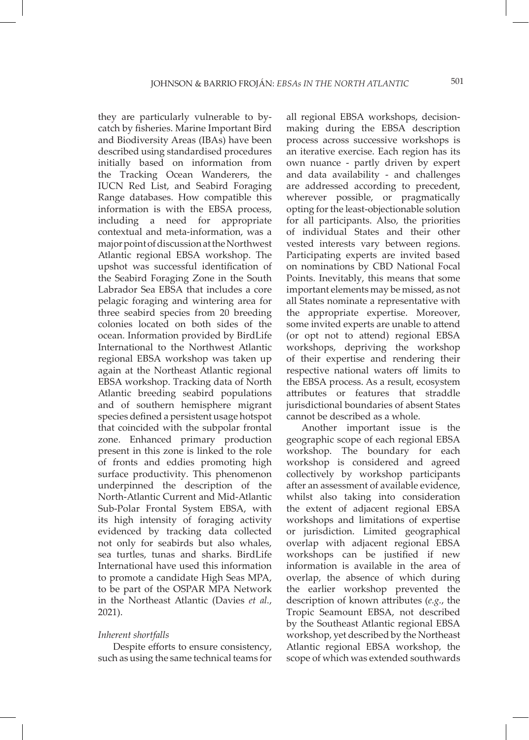they are particularly vulnerable to bycatch by fisheries. Marine Important Bird and Biodiversity Areas (IBAs) have been described using standardised procedures initially based on information from the Tracking Ocean Wanderers, the IUCN Red List, and Seabird Foraging Range databases. How compatible this information is with the EBSA process, including a need for appropriate contextual and meta-information, was a major point of discussion at the Northwest Atlantic regional EBSA workshop. The upshot was successful identification of the Seabird Foraging Zone in the South Labrador Sea EBSA that includes a core pelagic foraging and wintering area for three seabird species from 20 breeding colonies located on both sides of the ocean. Information provided by BirdLife International to the Northwest Atlantic regional EBSA workshop was taken up again at the Northeast Atlantic regional EBSA workshop. Tracking data of North Atlantic breeding seabird populations and of southern hemisphere migrant species defined a persistent usage hotspot that coincided with the subpolar frontal zone. Enhanced primary production present in this zone is linked to the role of fronts and eddies promoting high surface productivity. This phenomenon underpinned the description of the North-Atlantic Current and Mid-Atlantic Sub-Polar Frontal System EBSA, with its high intensity of foraging activity evidenced by tracking data collected not only for seabirds but also whales, sea turtles, tunas and sharks. BirdLife International have used this information to promote a candidate High Seas MPA, to be part of the OSPAR MPA Network in the Northeast Atlantic (Davies *et al.*, 2021).

# *Inherent shortfalls*

Despite efforts to ensure consistency, such as using the same technical teams for all regional EBSA workshops, decisionmaking during the EBSA description process across successive workshops is an iterative exercise. Each region has its own nuance - partly driven by expert and data availability - and challenges are addressed according to precedent, wherever possible, or pragmatically opting for the least-objectionable solution for all participants. Also, the priorities of individual States and their other vested interests vary between regions. Participating experts are invited based on nominations by CBD National Focal Points. Inevitably, this means that some important elements may be missed, as not all States nominate a representative with the appropriate expertise. Moreover, some invited experts are unable to attend (or opt not to attend) regional EBSA workshops, depriving the workshop of their expertise and rendering their respective national waters off limits to the EBSA process. As a result, ecosystem attributes or features that straddle jurisdictional boundaries of absent States cannot be described as a whole.

Another important issue is the geographic scope of each regional EBSA workshop. The boundary for each workshop is considered and agreed collectively by workshop participants after an assessment of available evidence, whilst also taking into consideration the extent of adjacent regional EBSA workshops and limitations of expertise or jurisdiction. Limited geographical overlap with adjacent regional EBSA workshops can be justified if new information is available in the area of overlap, the absence of which during the earlier workshop prevented the description of known attributes (*e.g.*, the Tropic Seamount EBSA, not described by the Southeast Atlantic regional EBSA workshop, yet described by the Northeast Atlantic regional EBSA workshop, the scope of which was extended southwards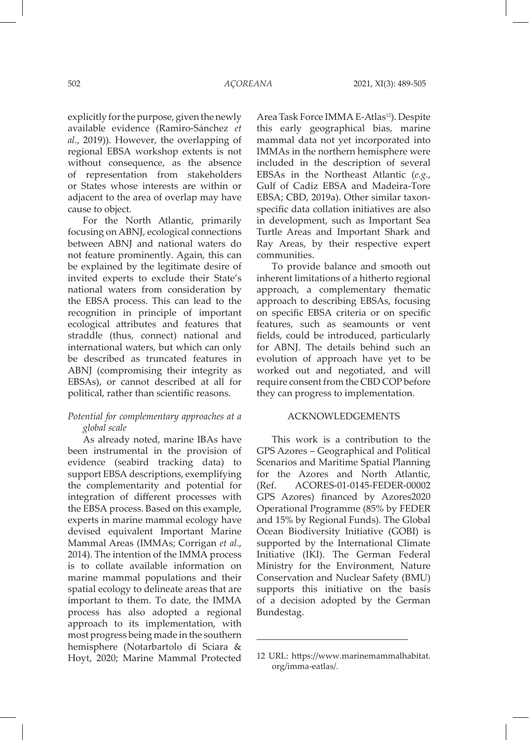explicitly for the purpose, given the newly available evidence (Ramiro-Sánchez *et al.*, 2019)). However, the overlapping of regional EBSA workshop extents is not without consequence, as the absence of representation from stakeholders or States whose interests are within or adjacent to the area of overlap may have cause to object.

For the North Atlantic, primarily focusing on ABNJ, ecological connections between ABNJ and national waters do not feature prominently. Again, this can be explained by the legitimate desire of invited experts to exclude their State's national waters from consideration by the EBSA process. This can lead to the recognition in principle of important ecological attributes and features that straddle (thus, connect) national and international waters, but which can only be described as truncated features in ABNJ (compromising their integrity as EBSAs), or cannot described at all for political, rather than scientific reasons.

# *Potential for complementary approaches at a global scale*

As already noted, marine IBAs have been instrumental in the provision of evidence (seabird tracking data) to support EBSA descriptions, exemplifying the complementarity and potential for integration of different processes with the EBSA process. Based on this example, experts in marine mammal ecology have devised equivalent Important Marine Mammal Areas (IMMAs; Corrigan *et al.*, 2014). The intention of the IMMA process is to collate available information on marine mammal populations and their spatial ecology to delineate areas that are important to them. To date, the IMMA process has also adopted a regional approach to its implementation, with most progress being made in the southern hemisphere (Notarbartolo di Sciara & Hoyt, 2020; Marine Mammal Protected Area Task Force IMMA E-Atlas<sup>12</sup>). Despite this early geographical bias, marine mammal data not yet incorporated into IMMAs in the northern hemisphere were included in the description of several EBSAs in the Northeast Atlantic (*e.g.*, Gulf of Cadiz EBSA and Madeira-Tore EBSA; CBD, 2019a). Other similar taxonspecific data collation initiatives are also in development, such as Important Sea Turtle Areas and Important Shark and Ray Areas, by their respective expert communities.

To provide balance and smooth out inherent limitations of a hitherto regional approach, a complementary thematic approach to describing EBSAs, focusing on specific EBSA criteria or on specific features, such as seamounts or vent fields, could be introduced, particularly for ABNJ. The details behind such an evolution of approach have yet to be worked out and negotiated, and will require consent from the CBD COP before they can progress to implementation.

# ACKNOWLEDGEMENTS

This work is a contribution to the GPS Azores – Geographical and Political Scenarios and Maritime Spatial Planning for the Azores and North Atlantic, (Ref. ACORES-01-0145-FEDER-00002 GPS Azores) financed by Azores2020 Operational Programme (85% by FEDER and 15% by Regional Funds). The Global Ocean Biodiversity Initiative (GOBI) is supported by the International Climate Initiative (IKI). The German Federal Ministry for the Environment, Nature Conservation and Nuclear Safety (BMU) supports this initiative on the basis of a decision adopted by the German Bundestag.

<sup>12</sup> URL: https://www.marinemammalhabitat. org/imma-eatlas/.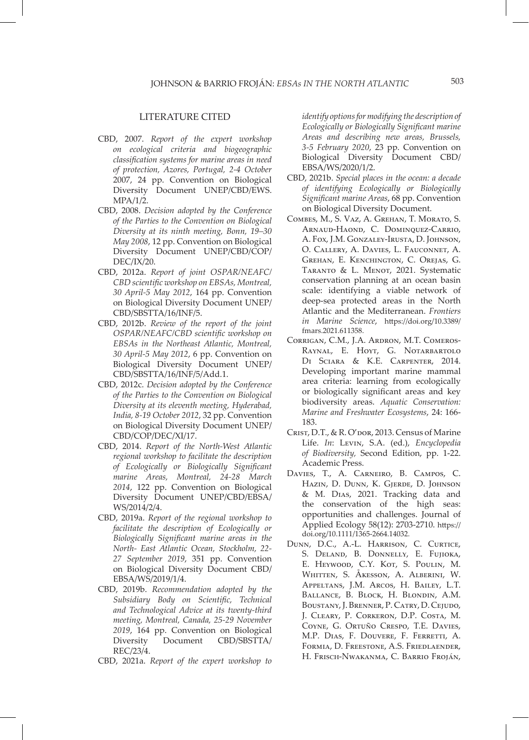### LITERATURE CITED

- CBD, 2007. *Report of the expert workshop on ecological criteria and biogeographic classification systems for marine areas in need of protection, Azores, Portugal, 2-4 October*  2007, 24 pp. Convention on Biological Diversity Document UNEP/CBD/EWS. MPA/1/2.
- CBD, 2008. *Decision adopted by the Conference of the Parties to the Convention on Biological Diversity at its ninth meeting, Bonn, 19–30 May 2008*, 12 pp. Convention on Biological Diversity Document UNEP/CBD/COP/ DEC/IX/20.
- CBD, 2012a. *Report of joint OSPAR/NEAFC/ CBD scientific workshop on EBSAs, Montreal, 30 April-5 May 2012*, 164 pp. Convention on Biological Diversity Document UNEP/ CBD/SBSTTA/16/INF/5.
- CBD, 2012b. *Review of the report of the joint OSPAR/NEAFC/CBD scientific workshop on EBSAs in the Northeast Atlantic, Montreal, 30 April-5 May 2012*, 6 pp. Convention on Biological Diversity Document UNEP/ CBD/SBSTTA/16/INF/5/Add.1.
- CBD, 2012c. *Decision adopted by the Conference of the Parties to the Convention on Biological Diversity at its eleventh meeting, Hyderabad, India, 8-19 October 2012*, 32 pp. Convention on Biological Diversity Document UNEP/ CBD/COP/DEC/XI/17.
- CBD, 2014. *Report of the North-West Atlantic regional workshop to facilitate the description of Ecologically or Biologically Significant marine Areas, Montreal, 24-28 March 2014*, 122 pp. Convention on Biological Diversity Document UNEP/CBD/EBSA/ WS/2014/2/4.
- CBD, 2019a. *Report of the regional workshop to facilitate the description of Ecologically or Biologically Significant marine areas in the North- East Atlantic Ocean, Stockholm, 22- 27 September 2019*, 351 pp. Convention on Biological Diversity Document CBD/ EBSA/WS/2019/1/4.
- CBD, 2019b. *Recommendation adopted by the Subsidiary Body on Scientific, Technical and Technological Advice at its twenty-third meeting, Montreal, Canada, 25-29 November 2019*, 164 pp. Convention on Biological Diversity Document CBD/SBSTTA/ REC/23/4.
- CBD, 2021a. *Report of the expert workshop to*

*identify options for modifying the description of Ecologically or Biologically Significant marine Areas and describing new areas, Brussels, 3-5 February 2020*, 23 pp. Convention on Biological Diversity Document CBD/ EBSA/WS/2020/1/2.

- CBD, 2021b. *Special places in the ocean: a decade of identifying Ecologically or Biologically Significant marine Areas*, 68 pp. Convention on Biological Diversity Document.
- Combes, M., S. Vaz, A. Grehan, T. Morato, S. Arnaud-Haond, C. Dominquez-Carrio, A. Fox, J.M. Gonzaley-Irusta, D. Johnson, O. Callery, A. Davies, L. Fauconnet, A. Grehan, E. Kenchington, C. Orejas, G. TARANTO & L. MENOT, 2021. Systematic conservation planning at an ocean basin scale: identifying a viable network of deep-sea protected areas in the North Atlantic and the Mediterranean. *Frontiers in Marine Science*, https://doi.org/10.3389/ fmars.2021.611358.
- Corrigan, C.M., J.A. Ardron, M.T. Comeros-Raynal, E. Hoyt, G. Notarbartolo Di Sciara & K.E. Carpenter, 2014. Developing important marine mammal area criteria: learning from ecologically or biologically significant areas and key biodiversity areas. *Aquatic Conservation: Marine and Freshwater Ecosystems*, 24: 166- 183.
- Crist, D.T., & R. O'dor, 2013. Census of Marine Life. *In*: Levin, S.A. (ed.), *Encyclopedia of Biodiversity,* Second Edition, pp. 1-22. Academic Press.
- Davies, T., A. Carneiro, B. Campos, C. Hazin, D. Dunn, K. Gjerde, D. Johnson & M. Dias, 2021. Tracking data and the conservation of the high seas: opportunities and challenges. Journal of Applied Ecology 58(12): 2703-2710. https:// doi.org/10.1111/1365-2664.14032.
- Dunn, D.C., A.-L. Harrison, C. Curtice, S. Deland, B. Donnelly, E. Fujioka, E. HEYWOOD, C.Y. KOT, S. POULIN, M. Whitten, S. Åkesson, A. Alberini, W. Appeltans, J.M. Arcos, H. Bailey, L.T. Ballance, B. Block, H. Blondin, A.M. Boustany, J. Brenner, P. Catry, D. Cejudo, J. Cleary, P. Corkeron, D.P. Costa, M. Coyne, G. Ortuño Crespo, T.E. Davies, M.P. Dias, F. Douvere, F. Ferretti, A. Formia, D. Freestone, A.S. Friedlaender, H. Frisch-Nwakanma, C. Barrio Froján,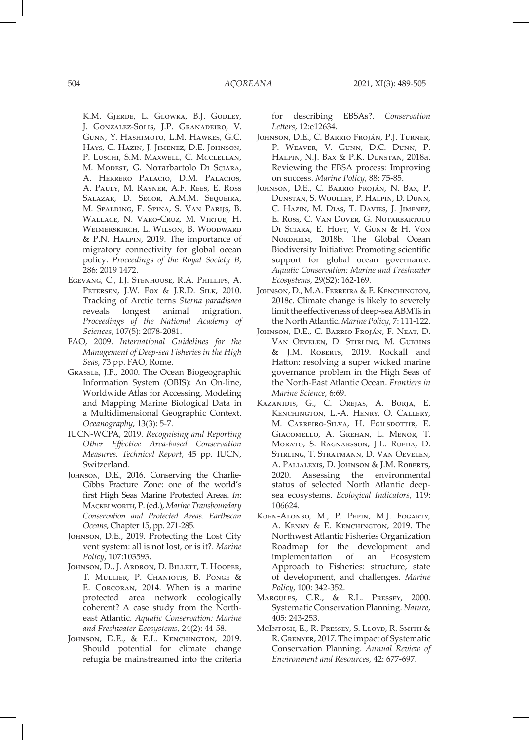K.M. GJERDE, L. GLOWKA, B.J. GODLEY, J. Gonzalez-Solis, J.P. Granadeiro, V. Gunn, Y. Hashimoto, L.M. Hawkes, G.C. Hays, C. Hazin, J. Jimenez, D.E. Johnson, P. LUSCHI, S.M. MAXWELL, C. MCCLELLAN, M. MODEST, G. Notarbartolo DI SCIARA, A. Herrero Palacio, D.M. Palacios, A. Pauly, M. Rayner, A.F. Rees, E. Ross Salazar, D. Secor, A.M.M. Sequeira, M. Spalding, F. Spina, S. Van Parijs, B. Wallace, N. Varo-Cruz, M. Virtue, H. Weimerskirch, L. Wilson, B. Woodward & P.N. Halpin, 2019. The importance of migratory connectivity for global ocean policy. *Proceedings of the Royal Society B*, 286: 2019 1472.

- Egevang, C., I.J. Stenhouse, R.A. Phillips, A. Petersen, J.W. Fox & J.R.D. Silk, 2010. Tracking of Arctic terns *Sterna paradisaea* reveals longest animal migration. *Proceedings of the National Academy of Sciences*, 107(5): 2078-2081.
- FAO, 2009. *International Guidelines for the Management of Deep-sea Fisheries in the High Seas*, 73 pp. FAO, Rome.
- Grassle, J.F., 2000. The Ocean Biogeographic Information System (OBIS): An On-line, Worldwide Atlas for Accessing, Modeling and Mapping Marine Biological Data in a Multidimensional Geographic Context. *Oceanography*, 13(3): 5-7.
- IUCN-WCPA, 2019. *Recognising and Reporting Other Effective Area-based Conservation Measures. Technical Report*, 45 pp. IUCN, Switzerland.
- JOHNSON, D.E., 2016. Conserving the Charlie-Gibbs Fracture Zone: one of the world's first High Seas Marine Protected Areas. *In*: Mackelworth, P. (ed.), *Marine Transboundary Conservation and Protected Areas. Earthscan Oceans*, Chapter 15, pp. 271-285.
- Johnson, D.E., 2019. Protecting the Lost City vent system: all is not lost, or is it?. *Marine Policy*, 107:103593.
- Johnson, D., J. Ardron, D. Billett, T. Hooper, T. Mullier, P. Chaniotis, B. Ponge & E. Corcoran, 2014. When is a marine protected area network ecologically coherent? A case study from the Northeast Atlantic. *Aquatic Conservation: Marine and Freshwater Ecosystems*, 24(2): 44-58.
- JOHNSON, D.E., & E.L. KENCHINGTON, 2019. Should potential for climate change refugia be mainstreamed into the criteria

for describing EBSAs?. *Conservation Letters*, 12:e12634.

- Johnson, D.E., C. Barrio Froján, P.J. Turner, P. WEAVER, V. GUNN, D.C. DUNN, P. Halpin, N.J. Bax & P.K. Dunstan, 2018a. Reviewing the EBSA process: Improving on success. *Marine Policy*, 88: 75-85.
- Johnson, D.E., C. Barrio Froján, N. Bax, P. Dunstan, S. Woolley, P. Halpin, D. Dunn, C. Hazin, M. Dias, T. Davies, J. Jimenez, E. Ross, C. Van Dover, G. Notarbartolo Di Sciara, E. Hoyt, V. Gunn & H. Von NORDHEIM, 2018b. The Global Ocean Biodiversity Initiative: Promoting scientific support for global ocean governance. *Aquatic Conservation: Marine and Freshwater Ecosystems*, 29(S2): 162-169.
- Johnson, D., M.A. Ferreira & E. Kenchington, 2018c. Climate change is likely to severely limit the effectiveness of deep-sea ABMTs in the North Atlantic. *Marine Policy*, 7: 111-122.
- Johnson, D.E., C. Barrio Froján, F. Neat, D. Van Oevelen, D. Stirling, M. Gubbins & J.M. Roberts, 2019. Rockall and Hatton: resolving a super wicked marine governance problem in the High Seas of the North-East Atlantic Ocean. *Frontiers in Marine Science*, 6:69.
- Kazanidis, G., C. Orejas, A. Borja, E. Kenchington, L.-A. Henry, O. Callery, M. Carreiro-Silva, H. Egilsdottir, E. Giacomello, A. Grehan, L. Menor, T. Morato, S. Ragnarsson, J.L. Rueda, D. Stirling, T. Stratmann, D. Van Oevelen, A. Palialexis, D. Johnson & J.M. Roberts, 2020. Assessing the environmental status of selected North Atlantic deepsea ecosystems. *Ecological Indicators*, 119: 106624.
- Koen-Alonso, M., P. Pepin, M.J. Fogarty, A. Kenny & E. Kenchington, 2019. The Northwest Atlantic Fisheries Organization Roadmap for the development and implementation of an Ecosystem Approach to Fisheries: structure, state of development, and challenges. *Marine Policy*, 100: 342-352.
- Margules, C.R., & R.L. Pressey, 2000. Systematic Conservation Planning. *Nature*, 405: 243-253.
- McIntosh, E., R. Pressey, S. Lloyd, R. Smith & R. Grenyer, 2017. The impact of Systematic Conservation Planning. *Annual Review of Environment and Resources*, 42: 677-697.